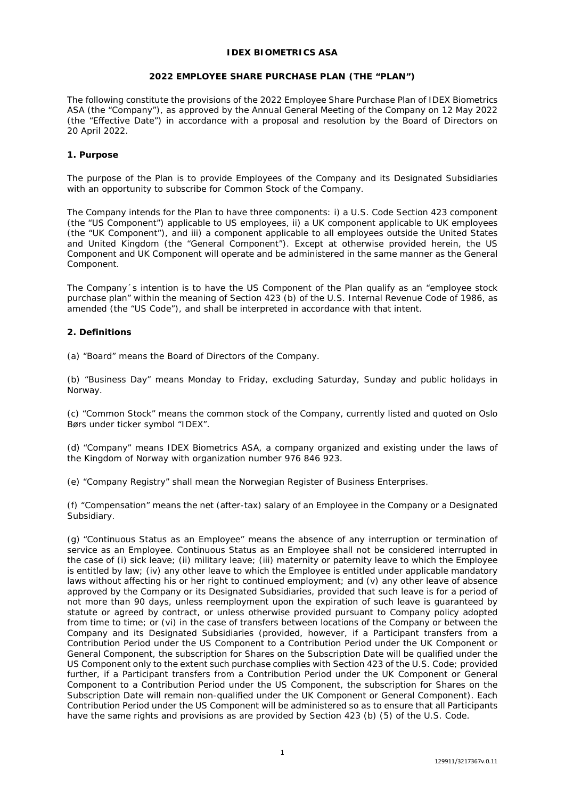## **IDEX BIOMETRICS ASA**

## **2022 EMPLOYEE SHARE PURCHASE PLAN (THE "PLAN")**

The following constitute the provisions of the 2022 Employee Share Purchase Plan of IDEX Biometrics ASA (the "Company"), as approved by the Annual General Meeting of the Company on 12 May 2022 (the "Effective Date") in accordance with a proposal and resolution by the Board of Directors on 20 April 2022.

## **1. Purpose**

The purpose of the Plan is to provide Employees of the Company and its Designated Subsidiaries with an opportunity to subscribe for Common Stock of the Company.

The Company intends for the Plan to have three components: i) a U.S. Code Section 423 component (the "US Component") applicable to US employees, ii) a UK component applicable to UK employees (the "UK Component"), and iii) a component applicable to all employees outside the United States and United Kingdom (the "General Component"). Except at otherwise provided herein, the US Component and UK Component will operate and be administered in the same manner as the General Component.

The Company´s intention is to have the US Component of the Plan qualify as an "employee stock purchase plan" within the meaning of Section 423 (b) of the U.S. Internal Revenue Code of 1986, as amended (the "US Code"), and shall be interpreted in accordance with that intent.

## **2. Definitions**

(a) "Board" means the Board of Directors of the Company.

(b) "Business Day" means Monday to Friday, excluding Saturday, Sunday and public holidays in Norway.

(c) "Common Stock" means the common stock of the Company, currently listed and quoted on Oslo Børs under ticker symbol "IDEX".

(d) "Company" means IDEX Biometrics ASA, a company organized and existing under the laws of the Kingdom of Norway with organization number 976 846 923.

(e) "Company Registry" shall mean the Norwegian Register of Business Enterprises.

(f) "Compensation" means the net (after-tax) salary of an Employee in the Company or a Designated Subsidiary.

(g) "Continuous Status as an Employee" means the absence of any interruption or termination of service as an Employee. Continuous Status as an Employee shall not be considered interrupted in the case of (i) sick leave; (ii) military leave; (iii) maternity or paternity leave to which the Employee is entitled by law; (iv) any other leave to which the Employee is entitled under applicable mandatory laws without affecting his or her right to continued employment; and (v) any other leave of absence approved by the Company or its Designated Subsidiaries, provided that such leave is for a period of not more than 90 days, unless reemployment upon the expiration of such leave is guaranteed by statute or agreed by contract, or unless otherwise provided pursuant to Company policy adopted from time to time; or (vi) in the case of transfers between locations of the Company or between the Company and its Designated Subsidiaries (provided, however, if a Participant transfers from a Contribution Period under the US Component to a Contribution Period under the UK Component or General Component, the subscription for Shares on the Subscription Date will be qualified under the US Component only to the extent such purchase complies with Section 423 of the U.S. Code; provided further, if a Participant transfers from a Contribution Period under the UK Component or General Component to a Contribution Period under the US Component, the subscription for Shares on the Subscription Date will remain non-qualified under the UK Component or General Component). Each Contribution Period under the US Component will be administered so as to ensure that all Participants have the same rights and provisions as are provided by Section 423 (b) (5) of the U.S. Code.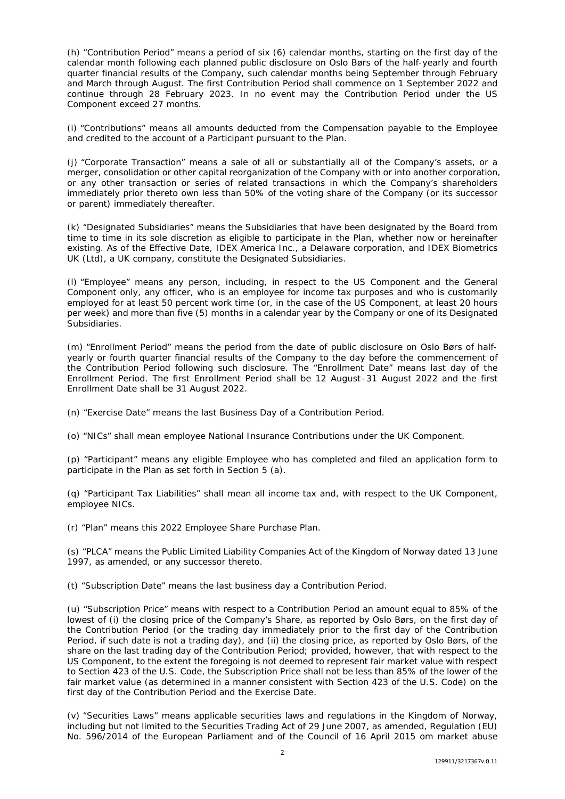(h) "Contribution Period" means a period of six (6) calendar months, starting on the first day of the calendar month following each planned public disclosure on Oslo Børs of the half-yearly and fourth quarter financial results of the Company, such calendar months being September through February and March through August. The first Contribution Period shall commence on 1 September 2022 and continue through 28 February 2023. In no event may the Contribution Period under the US Component exceed 27 months.

(i) "Contributions" means all amounts deducted from the Compensation payable to the Employee and credited to the account of a Participant pursuant to the Plan.

(j) "Corporate Transaction" means a sale of all or substantially all of the Company's assets, or a merger, consolidation or other capital reorganization of the Company with or into another corporation, or any other transaction or series of related transactions in which the Company's shareholders immediately prior thereto own less than 50% of the voting share of the Company (or its successor or parent) immediately thereafter.

(k) "Designated Subsidiaries" means the Subsidiaries that have been designated by the Board from time to time in its sole discretion as eligible to participate in the Plan, whether now or hereinafter existing. As of the Effective Date, IDEX America Inc., a Delaware corporation, and IDEX Biometrics UK (Ltd), a UK company, constitute the Designated Subsidiaries.

(l) "Employee" means any person, including, in respect to the US Component and the General Component only, any officer, who is an employee for income tax purposes and who is customarily employed for at least 50 percent work time (or, in the case of the US Component, at least 20 hours per week) and more than five (5) months in a calendar year by the Company or one of its Designated Subsidiaries.

(m) "Enrollment Period" means the period from the date of public disclosure on Oslo Børs of halfyearly or fourth quarter financial results of the Company to the day before the commencement of the Contribution Period following such disclosure. The "Enrollment Date" means last day of the Enrollment Period. The first Enrollment Period shall be 12 August–31 August 2022 and the first Enrollment Date shall be 31 August 2022.

(n) "Exercise Date" means the last Business Day of a Contribution Period.

(o) "NICs" shall mean employee National Insurance Contributions under the UK Component.

(p) "Participant" means any eligible Employee who has completed and filed an application form to participate in the Plan as set forth in Section 5 (a).

(q) "Participant Tax Liabilities" shall mean all income tax and, with respect to the UK Component, employee NICs.

(r) "Plan" means this 2022 Employee Share Purchase Plan.

(s) "PLCA" means the Public Limited Liability Companies Act of the Kingdom of Norway dated 13 June 1997, as amended, or any successor thereto.

(t) "Subscription Date" means the last business day a Contribution Period.

(u) "Subscription Price" means with respect to a Contribution Period an amount equal to 85% of the lowest of (i) the closing price of the Company's Share, as reported by Oslo Børs, on the first day of the Contribution Period (or the trading day immediately prior to the first day of the Contribution Period, if such date is not a trading day), and (ii) the closing price, as reported by Oslo Børs, of the share on the last trading day of the Contribution Period; provided, however, that with respect to the US Component, to the extent the foregoing is not deemed to represent fair market value with respect to Section 423 of the U.S. Code, the Subscription Price shall not be less than 85% of the lower of the fair market value (as determined in a manner consistent with Section 423 of the U.S. Code) on the first day of the Contribution Period and the Exercise Date.

(v) "Securities Laws" means applicable securities laws and regulations in the Kingdom of Norway, including but not limited to the Securities Trading Act of 29 June 2007, as amended, Regulation (EU) No. 596/2014 of the European Parliament and of the Council of 16 April 2015 om market abuse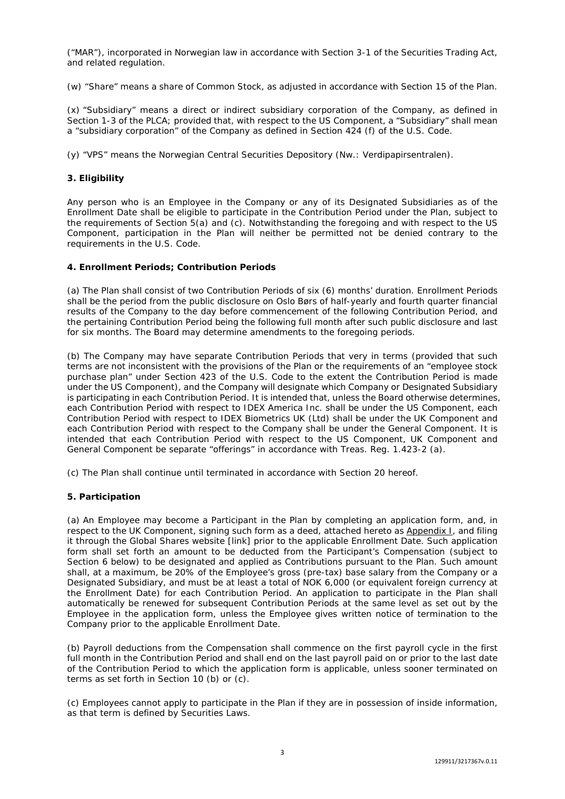("MAR"), incorporated in Norwegian law in accordance with Section 3-1 of the Securities Trading Act, and related regulation.

(w) "Share" means a share of Common Stock, as adjusted in accordance with Section 15 of the Plan.

(x) "Subsidiary" means a direct or indirect subsidiary corporation of the Company, as defined in Section 1-3 of the PLCA; provided that, with respect to the US Component, a "Subsidiary" shall mean a "subsidiary corporation" of the Company as defined in Section 424 (f) of the U.S. Code.

(y) "VPS" means the Norwegian Central Securities Depository (*Nw.:* Verdipapirsentralen).

## **3. Eligibility**

Any person who is an Employee in the Company or any of its Designated Subsidiaries as of the Enrollment Date shall be eligible to participate in the Contribution Period under the Plan, subject to the requirements of Section 5(a) and (c). Notwithstanding the foregoing and with respect to the US Component, participation in the Plan will neither be permitted not be denied contrary to the requirements in the U.S. Code.

## **4. Enrollment Periods; Contribution Periods**

(a) The Plan shall consist of two Contribution Periods of six (6) months' duration. Enrollment Periods shall be the period from the public disclosure on Oslo Børs of half-yearly and fourth quarter financial results of the Company to the day before commencement of the following Contribution Period, and the pertaining Contribution Period being the following full month after such public disclosure and last for six months. The Board may determine amendments to the foregoing periods.

(b) The Company may have separate Contribution Periods that very in terms (provided that such terms are not inconsistent with the provisions of the Plan or the requirements of an "employee stock purchase plan" under Section 423 of the U.S. Code to the extent the Contribution Period is made under the US Component), and the Company will designate which Company or Designated Subsidiary is participating in each Contribution Period. It is intended that, unless the Board otherwise determines, each Contribution Period with respect to IDEX America Inc. shall be under the US Component, each Contribution Period with respect to IDEX Biometrics UK (Ltd) shall be under the UK Component and each Contribution Period with respect to the Company shall be under the General Component. It is intended that each Contribution Period with respect to the US Component, UK Component and General Component be separate "offerings" in accordance with Treas. Reg. 1.423-2 (a).

(c) The Plan shall continue until terminated in accordance with Section 20 hereof.

# **5. Participation**

(a) An Employee may become a Participant in the Plan by completing an application form, and, in respect to the UK Component, signing such form as a deed, attached hereto as Appendix I, and filing it through the Global Shares website [link] prior to the applicable Enrollment Date. Such application form shall set forth an amount to be deducted from the Participant's Compensation (subject to Section 6 below) to be designated and applied as Contributions pursuant to the Plan. Such amount shall, at a maximum, be 20% of the Employee's gross (pre-tax) base salary from the Company or a Designated Subsidiary, and must be at least a total of NOK 6,000 (or equivalent foreign currency at the Enrollment Date) for each Contribution Period. An application to participate in the Plan shall automatically be renewed for subsequent Contribution Periods at the same level as set out by the Employee in the application form, unless the Employee gives written notice of termination to the Company prior to the applicable Enrollment Date.

(b) Payroll deductions from the Compensation shall commence on the first payroll cycle in the first full month in the Contribution Period and shall end on the last payroll paid on or prior to the last date of the Contribution Period to which the application form is applicable, unless sooner terminated on terms as set forth in Section 10 (b) or (c).

(c) Employees cannot apply to participate in the Plan if they are in possession of inside information, as that term is defined by Securities Laws.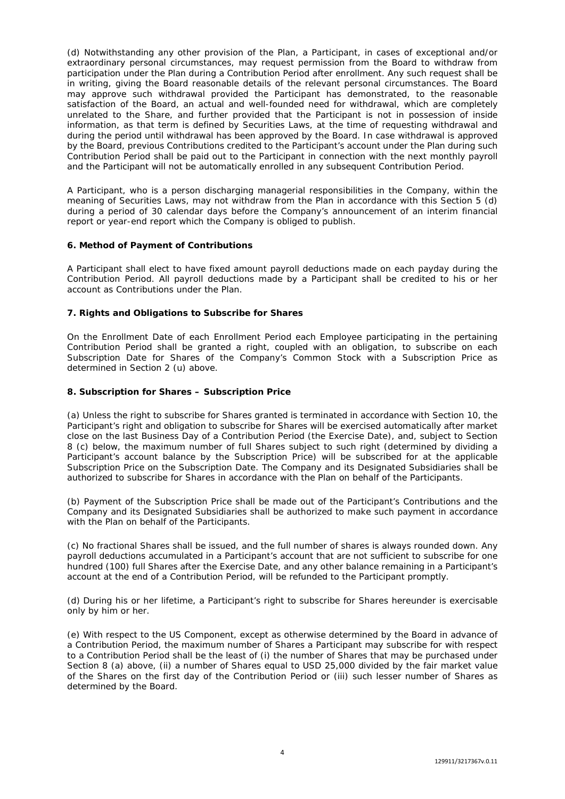(d) Notwithstanding any other provision of the Plan, a Participant, in cases of exceptional and/or extraordinary personal circumstances, may request permission from the Board to withdraw from participation under the Plan during a Contribution Period after enrollment. Any such request shall be in writing, giving the Board reasonable details of the relevant personal circumstances. The Board may approve such withdrawal provided the Participant has demonstrated, to the reasonable satisfaction of the Board, an actual and well-founded need for withdrawal, which are completely unrelated to the Share, and further provided that the Participant is not in possession of inside information, as that term is defined by Securities Laws, at the time of requesting withdrawal and during the period until withdrawal has been approved by the Board. In case withdrawal is approved by the Board, previous Contributions credited to the Participant's account under the Plan during such Contribution Period shall be paid out to the Participant in connection with the next monthly payroll and the Participant will not be automatically enrolled in any subsequent Contribution Period.

A Participant, who is a person discharging managerial responsibilities in the Company, within the meaning of Securities Laws, may not withdraw from the Plan in accordance with this Section 5 (d) during a period of 30 calendar days before the Company's announcement of an interim financial report or year-end report which the Company is obliged to publish.

# **6. Method of Payment of Contributions**

A Participant shall elect to have fixed amount payroll deductions made on each payday during the Contribution Period. All payroll deductions made by a Participant shall be credited to his or her account as Contributions under the Plan.

# **7. Rights and Obligations to Subscribe for Shares**

On the Enrollment Date of each Enrollment Period each Employee participating in the pertaining Contribution Period shall be granted a right, coupled with an obligation, to subscribe on each Subscription Date for Shares of the Company's Common Stock with a Subscription Price as determined in Section 2 (u) above.

# **8. Subscription for Shares – Subscription Price**

(a) Unless the right to subscribe for Shares granted is terminated in accordance with Section 10, the Participant's right and obligation to subscribe for Shares will be exercised automatically after market close on the last Business Day of a Contribution Period (the Exercise Date), and, subject to Section 8 (c) below, the maximum number of full Shares subject to such right (determined by dividing a Participant's account balance by the Subscription Price) will be subscribed for at the applicable Subscription Price on the Subscription Date. The Company and its Designated Subsidiaries shall be authorized to subscribe for Shares in accordance with the Plan on behalf of the Participants.

(b) Payment of the Subscription Price shall be made out of the Participant's Contributions and the Company and its Designated Subsidiaries shall be authorized to make such payment in accordance with the Plan on behalf of the Participants.

(c) No fractional Shares shall be issued, and the full number of shares is always rounded down. Any payroll deductions accumulated in a Participant's account that are not sufficient to subscribe for one hundred (100) full Shares after the Exercise Date, and any other balance remaining in a Participant's account at the end of a Contribution Period, will be refunded to the Participant promptly.

(d) During his or her lifetime, a Participant's right to subscribe for Shares hereunder is exercisable only by him or her.

(e) With respect to the US Component, except as otherwise determined by the Board in advance of a Contribution Period, the maximum number of Shares a Participant may subscribe for with respect to a Contribution Period shall be the least of (i) the number of Shares that may be purchased under Section 8 (a) above, (ii) a number of Shares equal to USD 25,000 divided by the fair market value of the Shares on the first day of the Contribution Period or (iii) such lesser number of Shares as determined by the Board.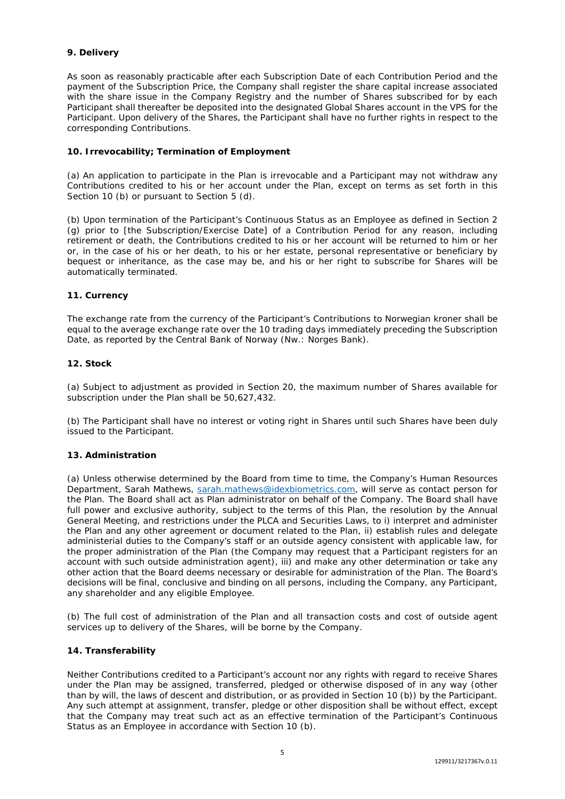# **9. Delivery**

As soon as reasonably practicable after each Subscription Date of each Contribution Period and the payment of the Subscription Price, the Company shall register the share capital increase associated with the share issue in the Company Registry and the number of Shares subscribed for by each Participant shall thereafter be deposited into the designated Global Shares account in the VPS for the Participant. Upon delivery of the Shares, the Participant shall have no further rights in respect to the corresponding Contributions.

# **10. Irrevocability; Termination of Employment**

(a) An application to participate in the Plan is irrevocable and a Participant may not withdraw any Contributions credited to his or her account under the Plan, except on terms as set forth in this Section 10 (b) or pursuant to Section 5 (d).

(b) Upon termination of the Participant's Continuous Status as an Employee as defined in Section 2 (g) prior to [the Subscription/Exercise Date] of a Contribution Period for any reason, including retirement or death, the Contributions credited to his or her account will be returned to him or her or, in the case of his or her death, to his or her estate, personal representative or beneficiary by bequest or inheritance, as the case may be, and his or her right to subscribe for Shares will be automatically terminated.

# **11. Currency**

The exchange rate from the currency of the Participant's Contributions to Norwegian kroner shall be equal to the average exchange rate over the 10 trading days immediately preceding the Subscription Date, as reported by the Central Bank of Norway (*Nw.:* Norges Bank).

## **12. Stock**

(a) Subject to adjustment as provided in Section 20, the maximum number of Shares available for subscription under the Plan shall be 50,627,432.

(b) The Participant shall have no interest or voting right in Shares until such Shares have been duly issued to the Participant.

# **13. Administration**

(a) Unless otherwise determined by the Board from time to time, the Company's Human Resources Department, Sarah Mathews, [sarah.mathews@idexbiometrics.com,](mailto:sarah.mathews@idexbiometrics.com) will serve as contact person for the Plan. The Board shall act as Plan administrator on behalf of the Company. The Board shall have full power and exclusive authority, subject to the terms of this Plan, the resolution by the Annual General Meeting, and restrictions under the PLCA and Securities Laws, to i) interpret and administer the Plan and any other agreement or document related to the Plan, ii) establish rules and delegate administerial duties to the Company's staff or an outside agency consistent with applicable law, for the proper administration of the Plan (the Company may request that a Participant registers for an account with such outside administration agent), iii) and make any other determination or take any other action that the Board deems necessary or desirable for administration of the Plan. The Board's decisions will be final, conclusive and binding on all persons, including the Company, any Participant, any shareholder and any eligible Employee.

(b) The full cost of administration of the Plan and all transaction costs and cost of outside agent services up to delivery of the Shares, will be borne by the Company.

# **14. Transferability**

Neither Contributions credited to a Participant's account nor any rights with regard to receive Shares under the Plan may be assigned, transferred, pledged or otherwise disposed of in any way (other than by will, the laws of descent and distribution, or as provided in Section 10 (b)) by the Participant. Any such attempt at assignment, transfer, pledge or other disposition shall be without effect, except that the Company may treat such act as an effective termination of the Participant's Continuous Status as an Employee in accordance with Section 10 (b).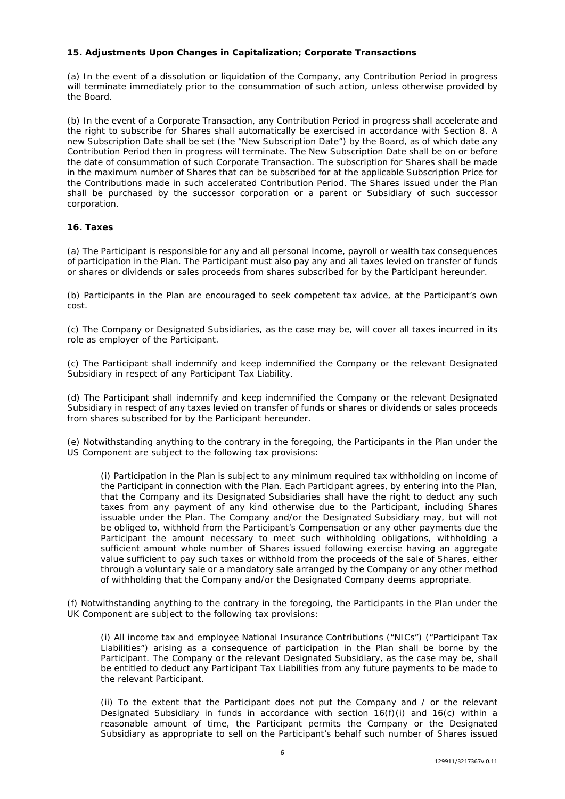# **15. Adjustments Upon Changes in Capitalization; Corporate Transactions**

(a) In the event of a dissolution or liquidation of the Company, any Contribution Period in progress will terminate immediately prior to the consummation of such action, unless otherwise provided by the Board.

(b) In the event of a Corporate Transaction, any Contribution Period in progress shall accelerate and the right to subscribe for Shares shall automatically be exercised in accordance with Section 8. A new Subscription Date shall be set (the "New Subscription Date") by the Board, as of which date any Contribution Period then in progress will terminate. The New Subscription Date shall be on or before the date of consummation of such Corporate Transaction. The subscription for Shares shall be made in the maximum number of Shares that can be subscribed for at the applicable Subscription Price for the Contributions made in such accelerated Contribution Period. The Shares issued under the Plan shall be purchased by the successor corporation or a parent or Subsidiary of such successor corporation.

# **16. Taxes**

(a) The Participant is responsible for any and all personal income, payroll or wealth tax consequences of participation in the Plan. The Participant must also pay any and all taxes levied on transfer of funds or shares or dividends or sales proceeds from shares subscribed for by the Participant hereunder.

(b) Participants in the Plan are encouraged to seek competent tax advice, at the Participant's own cost.

(c) The Company or Designated Subsidiaries, as the case may be, will cover all taxes incurred in its role as employer of the Participant.

(c) The Participant shall indemnify and keep indemnified the Company or the relevant Designated Subsidiary in respect of any Participant Tax Liability.

(d) The Participant shall indemnify and keep indemnified the Company or the relevant Designated Subsidiary in respect of any taxes levied on transfer of funds or shares or dividends or sales proceeds from shares subscribed for by the Participant hereunder.

(e) Notwithstanding anything to the contrary in the foregoing, the Participants in the Plan under the US Component are subject to the following tax provisions:

(i) Participation in the Plan is subject to any minimum required tax withholding on income of the Participant in connection with the Plan. Each Participant agrees, by entering into the Plan, that the Company and its Designated Subsidiaries shall have the right to deduct any such taxes from any payment of any kind otherwise due to the Participant, including Shares issuable under the Plan. The Company and/or the Designated Subsidiary may, but will not be obliged to, withhold from the Participant's Compensation or any other payments due the Participant the amount necessary to meet such withholding obligations, withholding a sufficient amount whole number of Shares issued following exercise having an aggregate value sufficient to pay such taxes or withhold from the proceeds of the sale of Shares, either through a voluntary sale or a mandatory sale arranged by the Company or any other method of withholding that the Company and/or the Designated Company deems appropriate.

(f) Notwithstanding anything to the contrary in the foregoing, the Participants in the Plan under the UK Component are subject to the following tax provisions:

(i) All income tax and employee National Insurance Contributions ("NICs") ("Participant Tax Liabilities") arising as a consequence of participation in the Plan shall be borne by the Participant. The Company or the relevant Designated Subsidiary, as the case may be, shall be entitled to deduct any Participant Tax Liabilities from any future payments to be made to the relevant Participant.

(ii) To the extent that the Participant does not put the Company and / or the relevant Designated Subsidiary in funds in accordance with section  $16(f)(i)$  and  $16(c)$  within a reasonable amount of time, the Participant permits the Company or the Designated Subsidiary as appropriate to sell on the Participant's behalf such number of Shares issued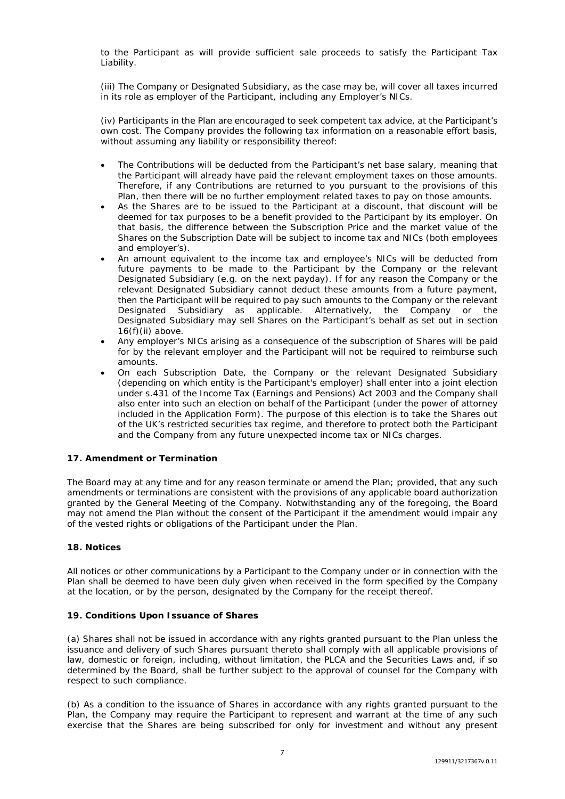to the Participant as will provide sufficient sale proceeds to satisfy the Participant Tax Liability.

(iii) The Company or Designated Subsidiary, as the case may be, will cover all taxes incurred in its role as employer of the Participant, including any Employer's NICs.

(iv) Participants in the Plan are encouraged to seek competent tax advice, at the Participant's own cost. The Company provides the following tax information on a reasonable effort basis, without assuming any liability or responsibility thereof:

- The Contributions will be deducted from the Participant's net base salary, meaning that the Participant will already have paid the relevant employment taxes on those amounts. Therefore, if any Contributions are returned to you pursuant to the provisions of this Plan, then there will be no further employment related taxes to pay on those amounts.
- As the Shares are to be issued to the Participant at a discount, that discount will be deemed for tax purposes to be a benefit provided to the Participant by its employer. On that basis, the difference between the Subscription Price and the market value of the Shares on the Subscription Date will be subject to income tax and NICs (both employees and employer's).
- An amount equivalent to the income tax and employee's NICs will be deducted from future payments to be made to the Participant by the Company or the relevant Designated Subsidiary (e.g. on the next payday). If for any reason the Company or the relevant Designated Subsidiary cannot deduct these amounts from a future payment, then the Participant will be required to pay such amounts to the Company or the relevant Designated Subsidiary as applicable. Alternatively, the Company or the Designated Subsidiary may sell Shares on the Participant's behalf as set out in section  $16(f)(ii)$  above.
- Any employer's NICs arising as a consequence of the subscription of Shares will be paid for by the relevant employer and the Participant will not be required to reimburse such amounts.
- On each Subscription Date, the Company or the relevant Designated Subsidiary (depending on which entity is the Participant's employer) shall enter into a joint election under s.431 of the Income Tax (Earnings and Pensions) Act 2003 and the Company shall also enter into such an election on behalf of the Participant (under the power of attorney included in the Application Form). The purpose of this election is to take the Shares out of the UK's restricted securities tax regime, and therefore to protect both the Participant and the Company from any future unexpected income tax or NICs charges.

# **17. Amendment or Termination**

The Board may at any time and for any reason terminate or amend the Plan; provided, that any such amendments or terminations are consistent with the provisions of any applicable board authorization granted by the General Meeting of the Company. Notwithstanding any of the foregoing, the Board may not amend the Plan without the consent of the Participant if the amendment would impair any of the vested rights or obligations of the Participant under the Plan.

# **18. Notices**

All notices or other communications by a Participant to the Company under or in connection with the Plan shall be deemed to have been duly given when received in the form specified by the Company at the location, or by the person, designated by the Company for the receipt thereof.

# **19. Conditions Upon Issuance of Shares**

(a) Shares shall not be issued in accordance with any rights granted pursuant to the Plan unless the issuance and delivery of such Shares pursuant thereto shall comply with all applicable provisions of law, domestic or foreign, including, without limitation, the PLCA and the Securities Laws and, if so determined by the Board, shall be further subject to the approval of counsel for the Company with respect to such compliance.

(b) As a condition to the issuance of Shares in accordance with any rights granted pursuant to the Plan, the Company may require the Participant to represent and warrant at the time of any such exercise that the Shares are being subscribed for only for investment and without any present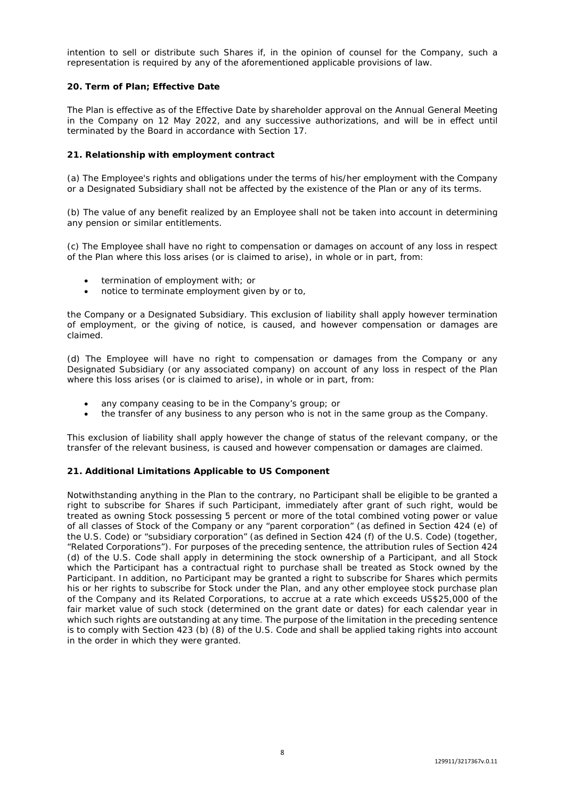intention to sell or distribute such Shares if, in the opinion of counsel for the Company, such a representation is required by any of the aforementioned applicable provisions of law.

## **20. Term of Plan; Effective Date**

The Plan is effective as of the Effective Date by shareholder approval on the Annual General Meeting in the Company on 12 May 2022, and any successive authorizations, and will be in effect until terminated by the Board in accordance with Section 17.

## **21. Relationship with employment contract**

(a) The Employee's rights and obligations under the terms of his/her employment with the Company or a Designated Subsidiary shall not be affected by the existence of the Plan or any of its terms.

(b) The value of any benefit realized by an Employee shall not be taken into account in determining any pension or similar entitlements.

(c) The Employee shall have no right to compensation or damages on account of any loss in respect of the Plan where this loss arises (or is claimed to arise), in whole or in part, from:

- termination of employment with; or
- notice to terminate employment given by or to,

the Company or a Designated Subsidiary. This exclusion of liability shall apply however termination of employment, or the giving of notice, is caused, and however compensation or damages are claimed.

(d) The Employee will have no right to compensation or damages from the Company or any Designated Subsidiary (or any associated company) on account of any loss in respect of the Plan where this loss arises (or is claimed to arise), in whole or in part, from:

- any company ceasing to be in the Company's group; or
- the transfer of any business to any person who is not in the same group as the Company.

This exclusion of liability shall apply however the change of status of the relevant company, or the transfer of the relevant business, is caused and however compensation or damages are claimed.

# **21. Additional Limitations Applicable to US Component**

Notwithstanding anything in the Plan to the contrary, no Participant shall be eligible to be granted a right to subscribe for Shares if such Participant, immediately after grant of such right, would be treated as owning Stock possessing 5 percent or more of the total combined voting power or value of all classes of Stock of the Company or any "parent corporation" (as defined in Section 424 (e) of the U.S. Code) or "subsidiary corporation" (as defined in Section 424 (f) of the U.S. Code) (together, "Related Corporations"). For purposes of the preceding sentence, the attribution rules of Section 424 (d) of the U.S. Code shall apply in determining the stock ownership of a Participant, and all Stock which the Participant has a contractual right to purchase shall be treated as Stock owned by the Participant. In addition, no Participant may be granted a right to subscribe for Shares which permits his or her rights to subscribe for Stock under the Plan, and any other employee stock purchase plan of the Company and its Related Corporations, to accrue at a rate which exceeds US\$25,000 of the fair market value of such stock (determined on the grant date or dates) for each calendar year in which such rights are outstanding at any time. The purpose of the limitation in the preceding sentence is to comply with Section 423 (b) (8) of the U.S. Code and shall be applied taking rights into account in the order in which they were granted.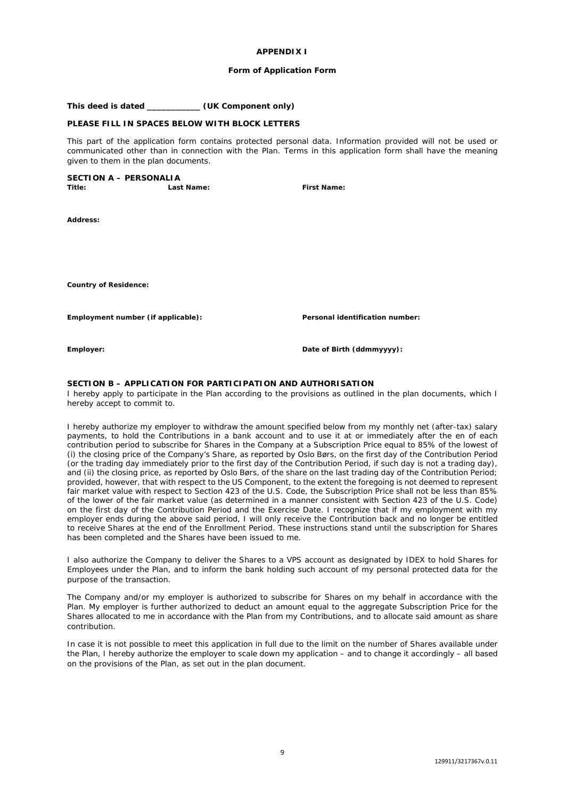### **APPENDIX I**

### **Form of Application Form**

**This deed is dated** \_\_\_\_\_\_\_\_\_\_\_ **(UK Component only)**

## **PLEASE FILL IN SPACES BELOW WITH BLOCK LETTERS**

This part of the application form contains protected personal data. Information provided will not be used or communicated other than in connection with the Plan. Terms in this application form shall have the meaning given to them in the plan documents.

### **SECTION A – PERSONALIA**

**Title: Last Name: First Name:** 

**Address:** 

**Country of Residence:** 

**Employment number (if applicable): Personal identification number:** 

**Employer: Date of Birth (ddmmyyyy):** 

### **SECTION B – APPLICATION FOR PARTICIPATION AND AUTHORISATION**

I hereby apply to participate in the Plan according to the provisions as outlined in the plan documents, which I hereby accept to commit to.

I hereby authorize my employer to withdraw the amount specified below from my monthly net (after-tax) salary payments, to hold the Contributions in a bank account and to use it at or immediately after the en of each contribution period to subscribe for Shares in the Company at a Subscription Price equal to 85% of the lowest of (i) the closing price of the Company's Share, as reported by Oslo Børs, on the first day of the Contribution Period (or the trading day immediately prior to the first day of the Contribution Period, if such day is not a trading day), and (ii) the closing price, as reported by Oslo Børs, of the share on the last trading day of the Contribution Period; provided, however, that with respect to the US Component, to the extent the foregoing is not deemed to represent fair market value with respect to Section 423 of the U.S. Code, the Subscription Price shall not be less than 85% of the lower of the fair market value (as determined in a manner consistent with Section 423 of the U.S. Code) on the first day of the Contribution Period and the Exercise Date. I recognize that if my employment with my employer ends during the above said period, I will only receive the Contribution back and no longer be entitled to receive Shares at the end of the Enrollment Period. These instructions stand until the subscription for Shares has been completed and the Shares have been issued to me.

I also authorize the Company to deliver the Shares to a VPS account as designated by IDEX to hold Shares for Employees under the Plan, and to inform the bank holding such account of my personal protected data for the purpose of the transaction.

The Company and/or my employer is authorized to subscribe for Shares on my behalf in accordance with the Plan. My employer is further authorized to deduct an amount equal to the aggregate Subscription Price for the Shares allocated to me in accordance with the Plan from my Contributions, and to allocate said amount as share contribution.

In case it is not possible to meet this application in full due to the limit on the number of Shares available under the Plan, I hereby authorize the employer to scale down my application – and to change it accordingly – all based on the provisions of the Plan, as set out in the plan document.